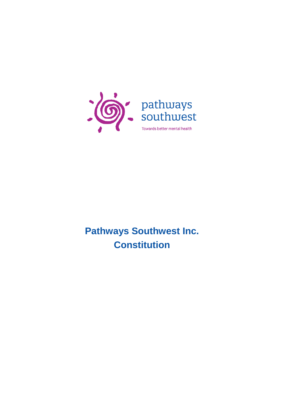

**Pathways Southwest Inc. Constitution**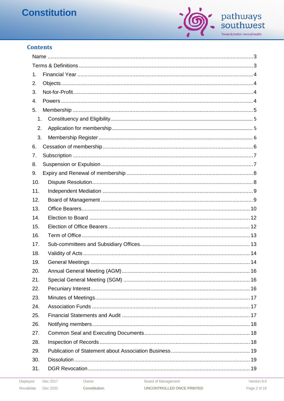

# **Contents**

| 1.  |  |  |  |
|-----|--|--|--|
| 2.  |  |  |  |
| 3.  |  |  |  |
| 4.  |  |  |  |
| 5.  |  |  |  |
| 1.  |  |  |  |
| 2.  |  |  |  |
| 3.  |  |  |  |
| 6.  |  |  |  |
| 7.  |  |  |  |
| 8.  |  |  |  |
| 9.  |  |  |  |
| 10. |  |  |  |
| 11. |  |  |  |
| 12. |  |  |  |
| 13. |  |  |  |
| 14. |  |  |  |
| 15. |  |  |  |
| 16. |  |  |  |
| 17. |  |  |  |
| 18. |  |  |  |
| 19. |  |  |  |
| 20. |  |  |  |
| 21. |  |  |  |
| 22. |  |  |  |
| 23. |  |  |  |
| 24. |  |  |  |
| 25. |  |  |  |
| 26. |  |  |  |
| 27. |  |  |  |
| 28. |  |  |  |
| 29. |  |  |  |
| 30. |  |  |  |
| 31. |  |  |  |
|     |  |  |  |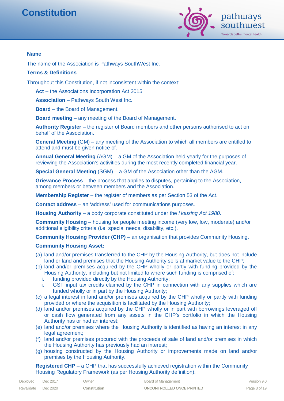

**Name**

The name of the Association is Pathways SouthWest Inc.

#### **Terms & Definitions**

Throughout this Constitution, if not inconsistent within the context:

**Act** – the Associations Incorporation Act 2015.

**Association** – Pathways South West Inc.

**Board** – the Board of Management.

**Board meeting** – any meeting of the Board of Management.

**Authority Register** – the register of Board members and other persons authorised to act on behalf of the Association.

**General Meeting** (GM) – any meeting of the Association to which all members are entitled to attend and must be given notice of.

**Annual General Meeting** (AGM) – a GM of the Association held yearly for the purposes of reviewing the Association's activities during the most recently completed financial year.

**Special General Meeting** (SGM) – a GM of the Association other than the AGM.

**Grievance Process** – the process that applies to disputes, pertaining to the Association, among members or between members and the Association.

**Membership Register** – the register of members as per Section 53 of the Act.

**Contact address** – an 'address' used for communications purposes.

**Housing Authority** – a body corporate constituted under the *Housing Act 1980*.

**Community Housing** – housing for people meeting income (very low, low, moderate) and/or additional eligibility criteria (i.e. special needs, disability, etc.).

**Community Housing Provider (CHP)** – an organisation that provides Community Housing.

#### **Community Housing Asset:**

- (a) land and/or premises transferred to the CHP by the Housing Authority, but does not include land or land and premises that the Housing Authority sells at market value to the CHP;
- (b) land and/or premises acquired by the CHP wholly or partly with funding provided by the Housing Authority, including but not limited to where such funding is comprised of:
	- i. funding provided directly by the Housing Authority;
- ii. GST input tax credits claimed by the CHP in connection with any supplies which are funded wholly or in part by the Housing Authority;
- (c) a legal interest in land and/or premises acquired by the CHP wholly or partly with funding provided or where the acquisition is facilitated by the Housing Authority;
- (d) land and/or premises acquired by the CHP wholly or in part with borrowings leveraged off or cash flow generated from any assets in the CHP's portfolio in which the Housing Authority has or had an interest;
- (e) land and/or premises where the Housing Authority is identified as having an interest in any legal agreement;
- (f) land and/or premises procured with the proceeds of sale of land and/or premises in which the Housing Authority has previously had an interest;
- (g) housing constructed by the Housing Authority or improvements made on land and/or premises by the Housing Authority.

**Registered CHP** – a CHP that has successfully achieved registration within the Community Housing Regulatory Framework (as per Housing Authority definition).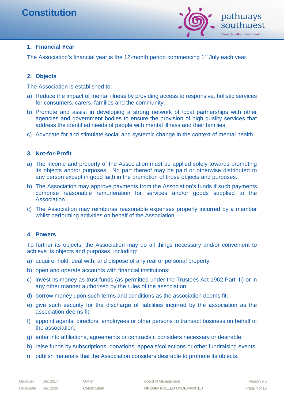

# **1. Financial Year**

The Association's financial year is the 12-month period commencing 1<sup>st</sup> July each year.

## **2. Objects**

The Association is established to:

- a) Reduce the impact of mental illness by providing access to responsive, holistic services for consumers, carers, families and the community.
- b) Promote and assist in developing a strong network of local partnerships with other agencies and government bodies to ensure the provision of high quality services that address the identified needs of people with mental illness and their families.
- c) Advocate for and stimulate social and systemic change in the context of mental health.

## **3. Not-for-Profit**

- a) The income and property of the Association must be applied solely towards promoting its objects and/or purposes. No part thereof may be paid or otherwise distributed to any person except in good faith in the promotion of those objects and purposes.
- b) The Association may approve payments from the Association's funds if such payments comprise reasonable remuneration for services and/or goods supplied to the **Association**
- c) The Association may reimburse reasonable expenses properly incurred by a member whilst performing activities on behalf of the Association.

## **4. Powers**

To further its objects, the Association may do all things necessary and/or convenient to achieve its objects and purposes, including:

- a) acquire, hold, deal with, and dispose of any real or personal property;
- b) open and operate accounts with financial institutions;
- c) invest its money as trust funds (as permitted under the Trustees Act 1962 Part III) or in any other manner authorised by the rules of the association;
- d) borrow money upon such terms and conditions as the association deems fit;
- e) give such security for the discharge of liabilities incurred by the association as the association deems fit;
- f) appoint agents, directors, employees or other persons to transact business on behalf of the association;
- g) enter into affiliations, agreements or contracts it considers necessary or desirable;
- h) raise funds by subscriptions, donations, appeals/collections or other fundraising events;
- i) publish materials that the Association considers desirable to promote its objects.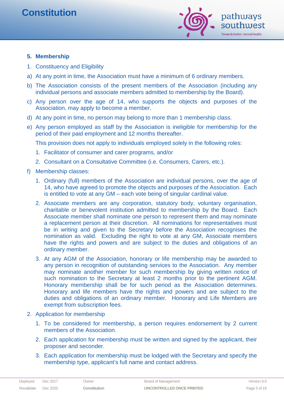

## **5. Membership**

- 1. Constituency and Eligibility
- a) At any point in time, the Association must have a minimum of 6 ordinary members.
- b) The Association consists of the present members of the Association (including any individual persons and associate members admitted to membership by the Board).
- c) Any person over the age of 14, who supports the objects and purposes of the Association, may apply to become a member.
- d) At any point in time, no person may belong to more than 1 membership class.
- e) Any person employed as staff by the Association is ineligible for membership for the period of their paid employment and 12 months thereafter.

This provision does not apply to individuals employed solely in the following roles:

- 1. Facilitator of consumer and carer programs, and/or
- 2. Consultant on a Consultative Committee (i.e. Consumers, Carers, etc.).
- f) Membership classes:
	- 1. Ordinary (full) members of the Association are individual persons, over the age of 14, who have agreed to promote the objects and purposes of the Association. Each is entitled to vote at any GM – each vote being of singular cardinal value.
	- 2. Associate members are any corporation, statutory body, voluntary organisation, charitable or benevolent institution admitted to membership by the Board. Each Associate member shall nominate one person to represent them and may nominate a replacement person at their discretion. All nominations for representatives must be in writing and given to the Secretary before the Association recognises the nomination as valid. Excluding the right to vote at any GM, Associate members have the rights and powers and are subject to the duties and obligations of an ordinary member.
	- 3. At any AGM of the Association, honorary or life membership may be awarded to any person in recognition of outstanding services to the Association. Any member may nominate another member for such membership by giving written notice of such nomination to the Secretary at least 2 months prior to the pertinent AGM. Honorary membership shall be for such period as the Association determines. Honorary and life members have the rights and powers and are subject to the duties and obligations of an ordinary member. Honorary and Life Members are exempt from subscription fees.
- 2. Application for membership
	- 1. To be considered for membership, a person requires endorsement by 2 current members of the Association.
	- 2. Each application for membership must be written and signed by the applicant, their proposer and seconder.
	- 3. Each application for membership must be lodged with the Secretary and specify the membership type, applicant's full name and contact address.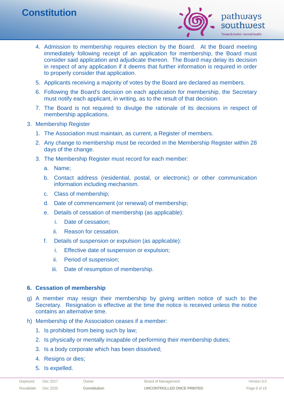

- 4. Admission to membership requires election by the Board. At the Board meeting immediately following receipt of an application for membership, the Board must consider said application and adjudicate thereon. The Board may delay its decision in respect of any application if it deems that further information is required in order to properly consider that application.
- 5. Applicants receiving a majority of votes by the Board are declared as members.
- 6. Following the Board's decision on each application for membership, the Secretary must notify each applicant, in writing, as to the result of that decision.
- 7. The Board is not required to divulge the rationale of its decisions in respect of membership applications.
- 3. Membership Register
	- 1. The Association must maintain, as current, a Register of members.
	- 2. Any change to membership must be recorded in the Membership Register within 28 days of the change.
	- 3. The Membership Register must record for each member:
		- a. Name;
		- b. Contact address (residential, postal, or electronic) or other communication information including mechanism.
		- c. Class of membership;
		- d. Date of commencement (or renewal) of membership;
		- e. Details of cessation of membership (as applicable):
			- i. Date of cessation;
			- ii. Reason for cessation.
		- f. Details of suspension or expulsion (as applicable):
			- i. Effective date of suspension or expulsion;
			- ii. Period of suspension;
			- iii. Date of resumption of membership.

#### **6. Cessation of membership**

- g) A member may resign their membership by giving written notice of such to the Secretary. Resignation is effective at the time the notice is received unless the notice contains an alternative time.
- h) Membership of the Association ceases if a member:
	- 1. Is prohibited from being such by law;
	- 2. Is physically or mentally incapable of performing their membership duties;
	- 3. Is a body corporate which has been dissolved;
	- 4. Resigns or dies;
	- 5. Is expelled.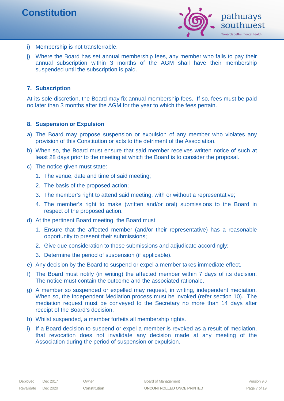

- i) Membership is not transferrable.
- j) Where the Board has set annual membership fees, any member who fails to pay their annual subscription within 3 months of the AGM shall have their membership suspended until the subscription is paid.

## **7. Subscription**

At its sole discretion, the Board may fix annual membership fees. If so, fees must be paid no later than 3 months after the AGM for the year to which the fees pertain.

## **8. Suspension or Expulsion**

- a) The Board may propose suspension or expulsion of any member who violates any provision of this Constitution or acts to the detriment of the Association.
- b) When so, the Board must ensure that said member receives written notice of such at least 28 days prior to the meeting at which the Board is to consider the proposal.
- c) The notice given must state:
	- 1. The venue, date and time of said meeting;
	- 2. The basis of the proposed action;
	- 3. The member's right to attend said meeting, with or without a representative;
	- 4. The member's right to make (written and/or oral) submissions to the Board in respect of the proposed action.
- d) At the pertinent Board meeting, the Board must:
	- 1. Ensure that the affected member (and/or their representative) has a reasonable opportunity to present their submissions;
	- 2. Give due consideration to those submissions and adjudicate accordingly;
	- 3. Determine the period of suspension (if applicable).
- e) Any decision by the Board to suspend or expel a member takes immediate effect.
- f) The Board must notify (in writing) the affected member within 7 days of its decision. The notice must contain the outcome and the associated rationale.
- g) A member so suspended or expelled may request, in writing, independent mediation. When so, the Independent Mediation process must be invoked (refer section 10). The mediation request must be conveyed to the Secretary no more than 14 days after receipt of the Board's decision.
- h) Whilst suspended, a member forfeits all membership rights.
- i) If a Board decision to suspend or expel a member is revoked as a result of mediation, that revocation does not invalidate any decision made at any meeting of the Association during the period of suspension or expulsion.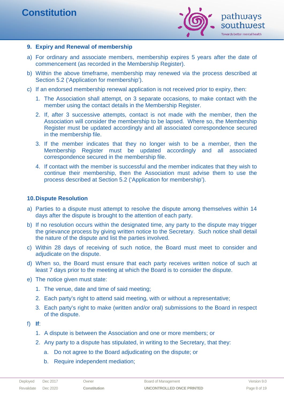

#### **9. Expiry and Renewal of membership**

- a) For ordinary and associate members, membership expires 5 years after the date of commencement (as recorded in the Membership Register).
- b) Within the above timeframe, membership may renewed via the process described at Section 5.2 ('Application for membership').
- c) If an endorsed membership renewal application is not received prior to expiry, then:
	- 1. The Association shall attempt, on 3 separate occasions, to make contact with the member using the contact details in the Membership Register.
	- 2. If, after 3 successive attempts, contact is not made with the member, then the Association will consider the membership to be lapsed. Where so, the Membership Register must be updated accordingly and all associated correspondence secured in the membership file.
	- 3. If the member indicates that they no longer wish to be a member, then the Membership Register must be updated accordingly and all associated correspondence secured in the membership file.
	- 4. If contact with the member is successful and the member indicates that they wish to continue their membership, then the Association must advise them to use the process described at Section 5.2 ('Application for membership').

#### **10.Dispute Resolution**

- a) Parties to a dispute must attempt to resolve the dispute among themselves within 14 days after the dispute is brought to the attention of each party.
- b) If no resolution occurs within the designated time, any party to the dispute may trigger the grievance process by giving written notice to the Secretary. Such notice shall detail the nature of the dispute and list the parties involved.
- c) Within 28 days of receiving of such notice, the Board must meet to consider and adjudicate on the dispute.
- d) When so, the Board must ensure that each party receives written notice of such at least 7 days prior to the meeting at which the Board is to consider the dispute.
- e) The notice given must state:
	- 1. The venue, date and time of said meeting;
	- 2. Each party's right to attend said meeting, with or without a representative;
	- 3. Each party's right to make (written and/or oral) submissions to the Board in respect of the dispute.
- f) **If**:
	- 1. A dispute is between the Association and one or more members; or
	- 2. Any party to a dispute has stipulated, in writing to the Secretary, that they:
		- a. Do not agree to the Board adjudicating on the dispute; or
		- b. Require independent mediation;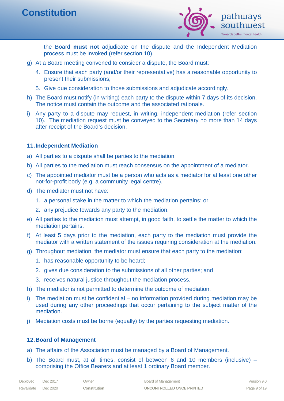

the Board **must not** adjudicate on the dispute and the Independent Mediation process must be invoked (refer section 10).

- g) At a Board meeting convened to consider a dispute, the Board must:
	- 4. Ensure that each party (and/or their representative) has a reasonable opportunity to present their submissions;
	- 5. Give due consideration to those submissions and adjudicate accordingly.
- h) The Board must notify (in writing) each party to the dispute within 7 days of its decision. The notice must contain the outcome and the associated rationale.
- i) Any party to a dispute may request, in writing, independent mediation (refer section 10). The mediation request must be conveyed to the Secretary no more than 14 days after receipt of the Board's decision.

#### **11.Independent Mediation**

- a) All parties to a dispute shall be parties to the mediation.
- b) All parties to the mediation must reach consensus on the appointment of a mediator.
- c) The appointed mediator must be a person who acts as a mediator for at least one other not-for-profit body (e.g. a community legal centre).
- d) The mediator must not have:
	- 1. a personal stake in the matter to which the mediation pertains; or
	- 2. any prejudice towards any party to the mediation.
- e) All parties to the mediation must attempt, in good faith, to settle the matter to which the mediation pertains.
- f) At least 5 days prior to the mediation, each party to the mediation must provide the mediator with a written statement of the issues requiring consideration at the mediation.
- g) Throughout mediation, the mediator must ensure that each party to the mediation:
	- 1. has reasonable opportunity to be heard;
	- 2. gives due consideration to the submissions of all other parties; and
	- 3. receives natural justice throughout the mediation process.
- h) The mediator is not permitted to determine the outcome of mediation.
- i) The mediation must be confidential no information provided during mediation may be used during any other proceedings that occur pertaining to the subject matter of the mediation.
- j) Mediation costs must be borne (equally) by the parties requesting mediation.

#### **12.Board of Management**

- a) The affairs of the Association must be managed by a Board of Management.
- b) The Board must, at all times, consist of between 6 and 10 members (inclusive) comprising the Office Bearers and at least 1 ordinary Board member.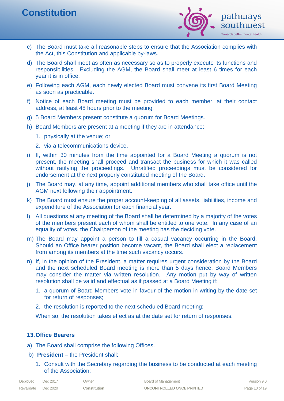

- c) The Board must take all reasonable steps to ensure that the Association complies with the Act, this Constitution and applicable by-laws.
- d) The Board shall meet as often as necessary so as to properly execute its functions and responsibilities. Excluding the AGM, the Board shall meet at least 6 times for each year it is in office.
- e) Following each AGM, each newly elected Board must convene its first Board Meeting as soon as practicable.
- f) Notice of each Board meeting must be provided to each member, at their contact address, at least 48 hours prior to the meeting.
- g) 5 Board Members present constitute a quorum for Board Meetings.
- h) Board Members are present at a meeting if they are in attendance:
	- 1. physically at the venue; or
	- 2. via a telecommunications device.
- i) If, within 30 minutes from the time appointed for a Board Meeting a quorum is not present, the meeting shall proceed and transact the business for which it was called without ratifying the proceedings. Unratified proceedings must be considered for endorsement at the next properly constituted meeting of the Board.
- j) The Board may, at any time, appoint additional members who shall take office until the AGM next following their appointment.
- k) The Board must ensure the proper account-keeping of all assets, liabilities, income and expenditure of the Association for each financial year.
- l) All questions at any meeting of the Board shall be determined by a majority of the votes of the members present each of whom shall be entitled to one vote. In any case of an equality of votes, the Chairperson of the meeting has the deciding vote.
- m) The Board may appoint a person to fill a casual vacancy occurring in the Board. Should an Office bearer position become vacant, the Board shall elect a replacement from among its members at the time such vacancy occurs.
- n) If, in the opinion of the President, a matter requires urgent consideration by the Board and the next scheduled Board meeting is more than 5 days hence, Board Members may consider the matter via written resolution. Any motion put by way of written resolution shall be valid and effectual as if passed at a Board Meeting if:
	- 1. a quorum of Board Members vote in favour of the motion in writing by the date set for return of responses;
	- 2. the resolution is reported to the next scheduled Board meeting;

When so, the resolution takes effect as at the date set for return of responses.

#### **13.Office Bearers**

- a) The Board shall comprise the following Offices.
- b) **President** the President shall:
	- 1. Consult with the Secretary regarding the business to be conducted at each meeting of the Association;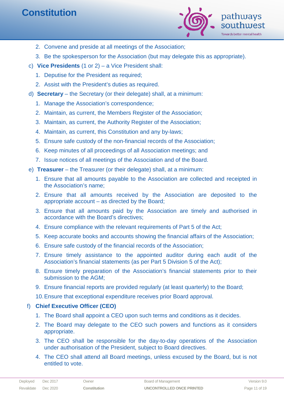

- 2. Convene and preside at all meetings of the Association;
- 3. Be the spokesperson for the Association (but may delegate this as appropriate).
- c) **Vice Presidents** (1 or 2) a Vice President shall:
	- 1. Deputise for the President as required;
	- 2. Assist with the President's duties as required.
- d) **Secretary** the Secretary (or their delegate) shall, at a minimum:
	- 1. Manage the Association's correspondence;
	- 2. Maintain, as current, the Members Register of the Association;
	- 3. Maintain, as current, the Authority Register of the Association;
	- 4. Maintain, as current, this Constitution and any by-laws;
	- 5. Ensure safe custody of the non-financial records of the Association;
	- 6. Keep minutes of all proceedings of all Association meetings; and
	- 7. Issue notices of all meetings of the Association and of the Board.
- e) **Treasurer** the Treasurer (or their delegate) shall, at a minimum:
	- 1. Ensure that all amounts payable to the Association are collected and receipted in the Association's name;
	- 2. Ensure that all amounts received by the Association are deposited to the appropriate account – as directed by the Board;
	- 3. Ensure that all amounts paid by the Association are timely and authorised in accordance with the Board's directives;
	- 4. Ensure compliance with the relevant requirements of Part 5 of the Act;
	- 5. Keep accurate books and accounts showing the financial affairs of the Association;
	- 6. Ensure safe custody of the financial records of the Association;
	- 7. Ensure timely assistance to the appointed auditor during each audit of the Association's financial statements (as per Part 5 Division 5 of the Act);
	- 8. Ensure timely preparation of the Association's financial statements prior to their submission to the AGM;
	- 9. Ensure financial reports are provided regularly (at least quarterly) to the Board;
	- 10.Ensure that exceptional expenditure receives prior Board approval.

# f) **Chief Executive Officer (CEO)**

- 1. The Board shall appoint a CEO upon such terms and conditions as it decides.
- 2. The Board may delegate to the CEO such powers and functions as it considers appropriate.
- 3. The CEO shall be responsible for the day-to-day operations of the Association under authorisation of the President, subject to Board directives.
- 4. The CEO shall attend all Board meetings, unless excused by the Board, but is not entitled to vote.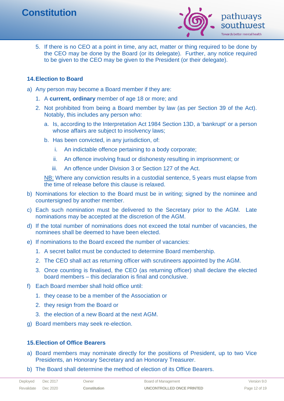

5. If there is no CEO at a point in time, any act, matter or thing required to be done by the CEO may be done by the Board (or its delegate). Further, any notice required to be given to the CEO may be given to the President (or their delegate).

## **14.Election to Board**

- a) Any person may become a Board member if they are:
	- 1. A **current, ordinary** member of age 18 or more; and
	- 2. Not prohibited from being a Board member by law (as per Section 39 of the Act). Notably, this includes any person who:
		- a. Is, according to the Interpretation Act 1984 Section 13D, a 'bankrupt' or a person whose affairs are subject to insolvency laws;
		- b. Has been convicted, in any jurisdiction, of:
			- i. An indictable offence pertaining to a body corporate;
			- ii. An offence involving fraud or dishonesty resulting in imprisonment; or
			- iii. An offence under Division 3 or Section 127 of the Act.

NB: Where any conviction results in a custodial sentence, 5 years must elapse from the time of release before this clause is relaxed.

- b) Nominations for election to the Board must be in writing; signed by the nominee and countersigned by another member.
- c) Each such nomination must be delivered to the Secretary prior to the AGM. Late nominations may be accepted at the discretion of the AGM.
- d) If the total number of nominations does not exceed the total number of vacancies, the nominees shall be deemed to have been elected.
- e) If nominations to the Board exceed the number of vacancies:
	- 1. A secret ballot must be conducted to determine Board membership.
	- 2. The CEO shall act as returning officer with scrutineers appointed by the AGM.
	- 3. Once counting is finalised, the CEO (as returning officer) shall declare the elected board members – this declaration is final and conclusive.
- f) Each Board member shall hold office until:
	- 1. they cease to be a member of the Association or
	- 2. they resign from the Board or
	- 3. the election of a new Board at the next AGM.
- g) Board members may seek re-election.

## **15.Election of Office Bearers**

- a) Board members may nominate directly for the positions of President, up to two Vice Presidents, an Honorary Secretary and an Honorary Treasurer.
- b) The Board shall determine the method of election of its Office Bearers.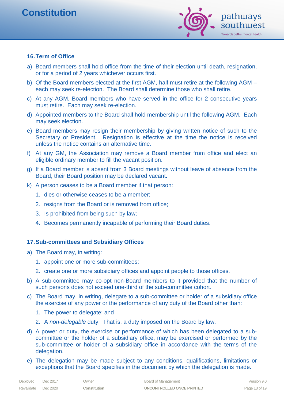

## **16.Term of Office**

- a) Board members shall hold office from the time of their election until death, resignation, or for a period of 2 years whichever occurs first.
- b) Of the Board members elected at the first AGM, half must retire at the following AGM each may seek re-election. The Board shall determine those who shall retire.
- c) At any AGM, Board members who have served in the office for 2 consecutive years must retire. Each may seek re-election.
- d) Appointed members to the Board shall hold membership until the following AGM. Each may seek election.
- e) Board members may resign their membership by giving written notice of such to the Secretary or President. Resignation is effective at the time the notice is received unless the notice contains an alternative time.
- f) At any GM, the Association may remove a Board member from office and elect an eligible ordinary member to fill the vacant position.
- g) If a Board member is absent from 3 Board meetings without leave of absence from the Board, their Board position may be declared vacant.
- k) A person ceases to be a Board member if that person:
	- 1. dies or otherwise ceases to be a member;
	- 2. resigns from the Board or is removed from office;
	- 3. Is prohibited from being such by law;
	- 4. Becomes permanently incapable of performing their Board duties.

#### **17.Sub-committees and Subsidiary Offices**

- a) The Board may, in writing:
	- 1. appoint one or more sub-committees;
	- 2. create one or more subsidiary offices and appoint people to those offices.
- b) A sub-committee may co-opt non-Board members to it provided that the number of such persons does not exceed one-third of the sub-committee cohort.
- c) The Board may, in writing, delegate to a sub-committee or holder of a subsidiary office the exercise of any power or the performance of any duty of the Board other than:
	- 1. The power to delegate; and
	- 2. A *non-delegable* duty. That is, a duty imposed on the Board by law.
- d) A power or duty, the exercise or performance of which has been delegated to a subcommittee or the holder of a subsidiary office, may be exercised or performed by the sub-committee or holder of a subsidiary office in accordance with the terms of the delegation.
- e) The delegation may be made subject to any conditions, qualifications, limitations or exceptions that the Board specifies in the document by which the delegation is made.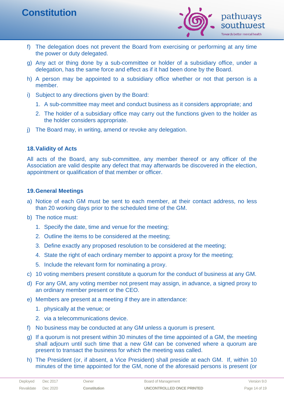

- f) The delegation does not prevent the Board from exercising or performing at any time the power or duty delegated.
- g) Any act or thing done by a sub-committee or holder of a subsidiary office, under a delegation, has the same force and effect as if it had been done by the Board.
- h) A person may be appointed to a subsidiary office whether or not that person is a member.
- i) Subject to any directions given by the Board:
	- 1. A sub-committee may meet and conduct business as it considers appropriate; and
	- 2. The holder of a subsidiary office may carry out the functions given to the holder as the holder considers appropriate.
- j) The Board may, in writing, amend or revoke any delegation.

## **18.Validity of Acts**

All acts of the Board, any sub-committee, any member thereof or any officer of the Association are valid despite any defect that may afterwards be discovered in the election, appointment or qualification of that member or officer.

## **19.General Meetings**

- a) Notice of each GM must be sent to each member, at their contact address, no less than 20 working days prior to the scheduled time of the GM.
- b) The notice must:
	- 1. Specify the date, time and venue for the meeting;
	- 2. Outline the items to be considered at the meeting;
	- 3. Define exactly any proposed resolution to be considered at the meeting;
	- 4. State the right of each ordinary member to appoint a proxy for the meeting;
	- 5. Include the relevant form for nominating a proxy.
- c) 10 voting members present constitute a quorum for the conduct of business at any GM.
- d) For any GM, any voting member not present may assign, in advance, a signed proxy to an ordinary member present or the CEO.
- e) Members are present at a meeting if they are in attendance:
	- 1. physically at the venue; or
	- 2. via a telecommunications device.
- f) No business may be conducted at any GM unless a quorum is present.
- g) If a quorum is not present within 30 minutes of the time appointed of a GM, the meeting shall adjourn until such time that a new GM can be convened where a quorum are present to transact the business for which the meeting was called.
- h) The President (or, if absent, a Vice President) shall preside at each GM. If, within 10 minutes of the time appointed for the GM, none of the aforesaid persons is present (or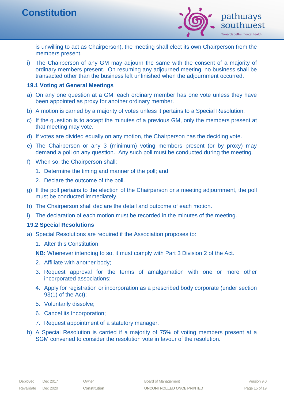

is unwilling to act as Chairperson), the meeting shall elect its own Chairperson from the members present.

i) The Chairperson of any GM may adjourn the same with the consent of a majority of ordinary members present. On resuming any adjourned meeting, no business shall be transacted other than the business left unfinished when the adjournment occurred.

## **19.1 Voting at General Meetings**

- a) On any one question at a GM, each ordinary member has one vote unless they have been appointed as proxy for another ordinary member.
- b) A motion is carried by a majority of votes unless it pertains to a Special Resolution.
- c) If the question is to accept the minutes of a previous GM, only the members present at that meeting may vote.
- d) If votes are divided equally on any motion, the Chairperson has the deciding vote.
- e) The Chairperson or any 3 (minimum) voting members present (or by proxy) may demand a poll on any question. Any such poll must be conducted during the meeting.
- f) When so, the Chairperson shall:
	- 1. Determine the timing and manner of the poll; and
	- 2. Declare the outcome of the poll.
- g) If the poll pertains to the election of the Chairperson or a meeting adjournment, the poll must be conducted immediately.
- h) The Chairperson shall declare the detail and outcome of each motion.
- i) The declaration of each motion must be recorded in the minutes of the meeting.

## **19.2 Special Resolutions**

- a) Special Resolutions are required if the Association proposes to:
	- 1. Alter this Constitution;

**NB:** Whenever intending to so, it must comply with Part 3 Division 2 of the Act.

- 2. Affiliate with another body;
- 3. Request approval for the terms of amalgamation with one or more other incorporated associations;
- 4. Apply for registration or incorporation as a prescribed body corporate (under section 93(1) of the Act);
- 5. Voluntarily dissolve;
- 6. Cancel its Incorporation;
- 7. Request appointment of a statutory manager.
- b) A Special Resolution is carried if a majority of 75% of voting members present at a SGM convened to consider the resolution vote in favour of the resolution.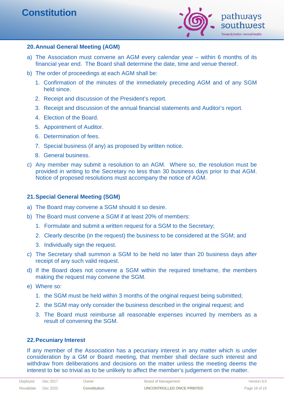

## **20.Annual General Meeting (AGM)**

- a) The Association must convene an AGM every calendar year within 6 months of its financial year end. The Board shall determine the date, time and venue thereof.
- b) The order of proceedings at each AGM shall be:
	- 1. Confirmation of the minutes of the immediately preceding AGM and of any SGM held since.
	- 2. Receipt and discussion of the President's report.
	- 3. Receipt and discussion of the annual financial statements and Auditor's report.
	- 4. Election of the Board.
	- 5. Appointment of Auditor.
	- 6. Determination of fees.
	- 7. Special business (if any) as proposed by written notice.
	- 8. General business.
- c) Any member may submit a resolution to an AGM. Where so, the resolution must be provided in writing to the Secretary no less than 30 business days prior to that AGM. Notice of proposed resolutions must accompany the notice of AGM.

## **21.Special General Meeting (SGM)**

- a) The Board may convene a SGM should it so desire.
- b) The Board must convene a SGM if at least 20% of members:
	- 1. Formulate and submit a written request for a SGM to the Secretary;
	- 2. Clearly describe (in the request) the business to be considered at the SGM; and
	- 3. Individually sign the request.
- c) The Secretary shall summon a SGM to be held no later than 20 business days after receipt of any such valid request.
- d) If the Board does not convene a SGM within the required timeframe, the members making the request may convene the SGM.
- e) Where so:
	- 1. the SGM must be held within 3 months of the original request being submitted;
	- 2. the SGM may only consider the business described in the original request; and
	- 3. The Board must reimburse all reasonable expenses incurred by members as a result of convening the SGM.

#### **22.Pecuniary Interest**

If any member of the Association has a pecuniary interest in any matter which is under consideration by a GM or Board meeting, that member shall declare such interest and withdraw from deliberations and decisions on the matter unless the meeting deems the interest to be so trivial as to be unlikely to affect the member's judgement on the matter.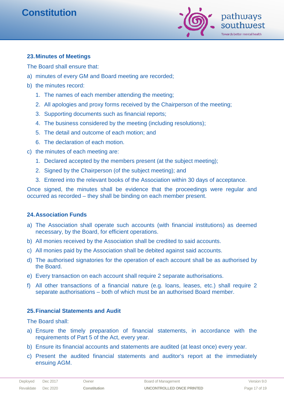

## **23.Minutes of Meetings**

The Board shall ensure that:

- a) minutes of every GM and Board meeting are recorded;
- b) the minutes record:
	- 1. The names of each member attending the meeting;
	- 2. All apologies and proxy forms received by the Chairperson of the meeting;
	- 3. Supporting documents such as financial reports;
	- 4. The business considered by the meeting (including resolutions);
	- 5. The detail and outcome of each motion; and
	- 6. The declaration of each motion.
- c) the minutes of each meeting are:
	- 1. Declared accepted by the members present (at the subject meeting);
	- 2. Signed by the Chairperson (of the subject meeting); and
	- 3. Entered into the relevant books of the Association within 30 days of acceptance.

Once signed, the minutes shall be evidence that the proceedings were regular and occurred as recorded – they shall be binding on each member present.

#### **24.Association Funds**

- a) The Association shall operate such accounts (with financial institutions) as deemed necessary, by the Board, for efficient operations.
- b) All monies received by the Association shall be credited to said accounts.
- c) All monies paid by the Association shall be debited against said accounts.
- d) The authorised signatories for the operation of each account shall be as authorised by the Board.
- e) Every transaction on each account shall require 2 separate authorisations.
- f) All other transactions of a financial nature (e.g. loans, leases, etc.) shall require 2 separate authorisations – both of which must be an authorised Board member.

#### **25.Financial Statements and Audit**

The Board shall:

- a) Ensure the timely preparation of financial statements, in accordance with the requirements of Part 5 of the Act, every year.
- b) Ensure its financial accounts and statements are audited (at least once) every year.
- c) Present the audited financial statements and auditor's report at the immediately ensuing AGM.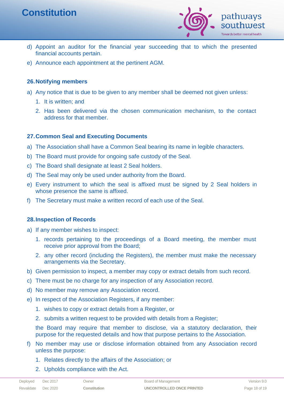

- d) Appoint an auditor for the financial year succeeding that to which the presented financial accounts pertain.
- e) Announce each appointment at the pertinent AGM.

## **26.Notifying members**

- a) Any notice that is due to be given to any member shall be deemed not given unless:
	- 1. It is written; and
	- 2. Has been delivered via the chosen communication mechanism, to the contact address for that member.

# **27.Common Seal and Executing Documents**

- a) The Association shall have a Common Seal bearing its name in legible characters.
- b) The Board must provide for ongoing safe custody of the Seal.
- c) The Board shall designate at least 2 Seal holders.
- d) The Seal may only be used under authority from the Board.
- e) Every instrument to which the seal is affixed must be signed by 2 Seal holders in whose presence the same is affixed.
- f) The Secretary must make a written record of each use of the Seal.

## **28.Inspection of Records**

- a) If any member wishes to inspect:
	- 1. records pertaining to the proceedings of a Board meeting, the member must receive prior approval from the Board;
	- 2. any other record (including the Registers), the member must make the necessary arrangements via the Secretary.
- b) Given permission to inspect, a member may copy or extract details from such record.
- c) There must be no charge for any inspection of any Association record.
- d) No member may remove any Association record.
- e) In respect of the Association Registers, if any member:
	- 1. wishes to copy or extract details from a Register, or
	- 2. submits a written request to be provided with details from a Register;

the Board may require that member to disclose, via a statutory declaration, their purpose for the requested details and how that purpose pertains to the Association.

- f) No member may use or disclose information obtained from any Association record unless the purpose:
	- 1. Relates directly to the affairs of the Association; or
	- 2. Upholds compliance with the Act.